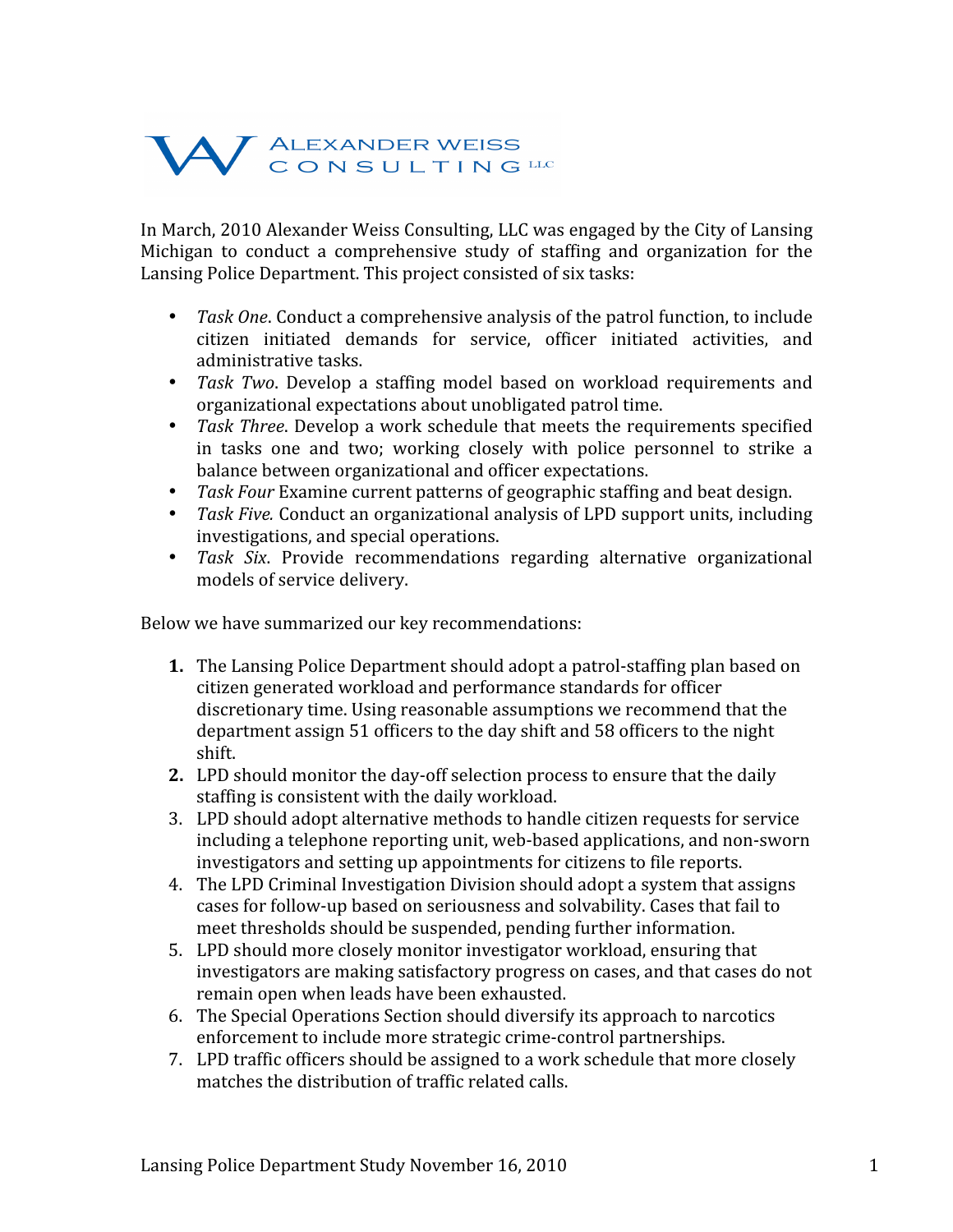## W ALEXANDER WEISS

In
March,
2010
Alexander
Weiss
Consulting,
LLC
was
engaged
by
the
City
of
Lansing Michigan to conduct a comprehensive study of staffing and organization for the Lansing
Police
Department.
This
project
consisted
of
six
tasks:

- Task One. Conduct a comprehensive analysis of the patrol function, to include citizen
 initiated
 demands
 for
 service,
 officer
 initiated
 activities,
 and administrative
tasks.
- *Task Two*. Develop a staffing model based on workload requirements and organizational
expectations
about
unobligated
patrol
time.
- Task Three. Develop a work schedule that meets the requirements specified in tasks one and two; working closely with police personnel to strike a balance
between
organizational
and
officer
expectations.
- Task Four Examine current patterns of geographic staffing and beat design.
- *Task Five.* Conduct an organizational analysis of LPD support units, including investigations,
and
special
operations.
- *Task Six*. Provide recommendations regarding alternative organizational models
of
service
delivery.

Below
we
have
summarized
our
key
recommendations:

- 1. The Lansing Police Department should adopt a patrol-staffing plan based on citizen
generated
workload
and
performance
standards
for
officer discretionary
time.
Using
reasonable
assumptions
we
recommend
that
the department
assign
51
officers
to
the
day
shift
and
58
officers
to
the
night shift.
- 2. LPD should monitor the day-off selection process to ensure that the daily staffing
is
consistent
with
the
daily
workload.
- 3. LPD should adopt alternative methods to handle citizen requests for service including
a
telephone
reporting
unit,
web‐based
applications, and
non‐sworn investigators and setting up appointments for citizens to file reports.
- 4. The
LPD
Criminal
Investigation
Division
should
adopt
a
system
that
assigns cases
for
follow‐up
based
on
seriousness
and
solvability.
Cases
that
fail
to meet
thresholds
should
be
suspended,
pending
further
information.
- 5. LPD
should
more
closely
monitor
investigator
workload,
ensuring
that investigators
are
making
satisfactory
progress
on
cases,
and
that
cases
do
not remain
open
when
leads
have
been
exhausted.
- 6. The
Special
Operations
Section
should
diversify
its
approach
to
narcotics enforcement
to
include
more
strategic
crime‐control
partnerships.
- 7. LPD
traffic
officers
should
be
assigned
to
a
work
schedule
that
more
closely matches the distribution of traffic related calls.